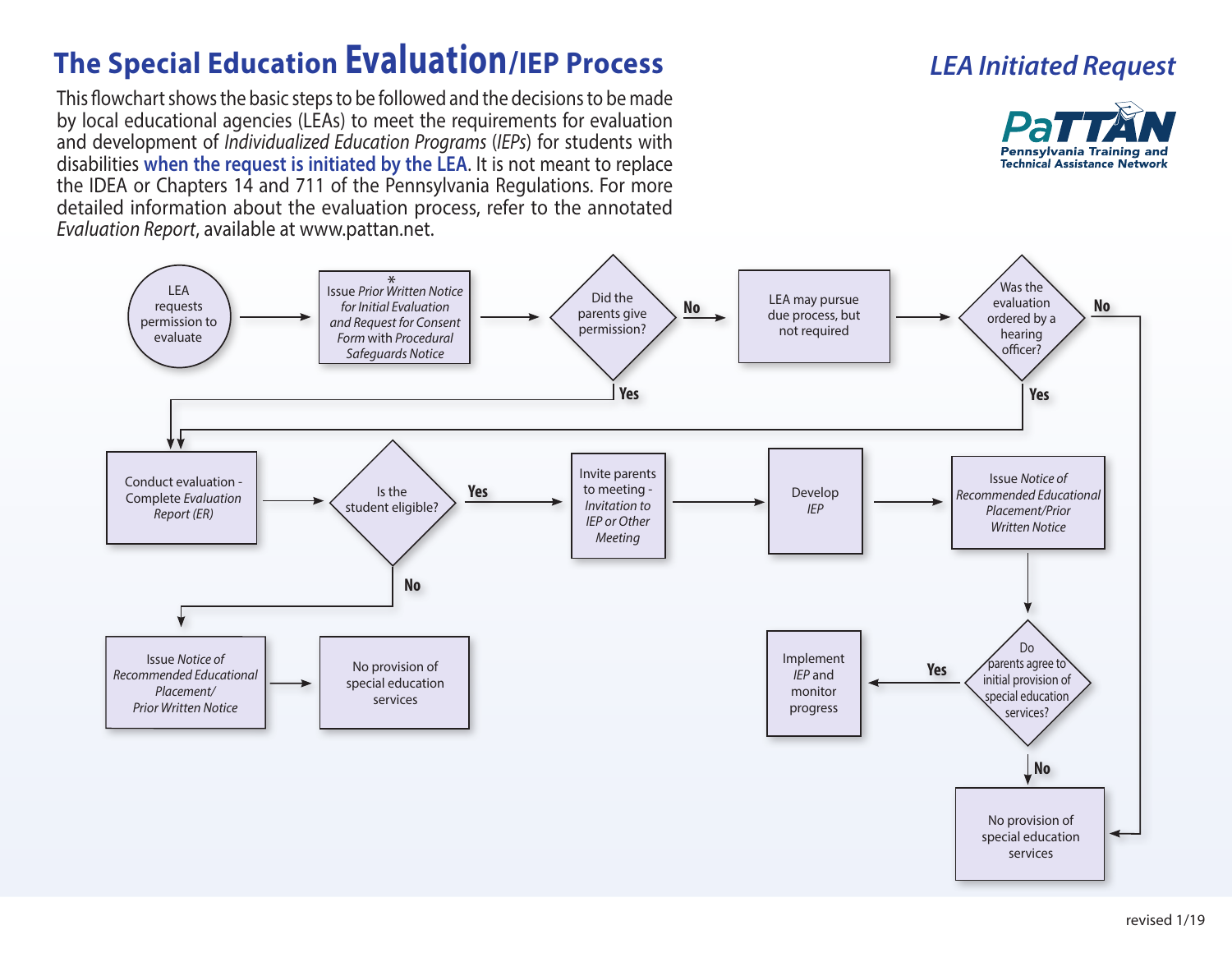## **The Special Education Evaluation/IEP Process**

This flowchart shows the basic steps to be followed and the decisions to be made by local educational agencies (LEAs) to meet the requirements for evaluation and development of *Individualized Education Programs* (*IEPs*) for students with disabilities **when the request is initiated by the LEA**. It is not meant to replace the IDEA or Chapters 14 and 711 of the Pennsylvania Regulations. For more detailed information about the evaluation process, refer to the annotated *Evaluation Report*, available at www.pattan.net.

## *LEA Initiated Request*